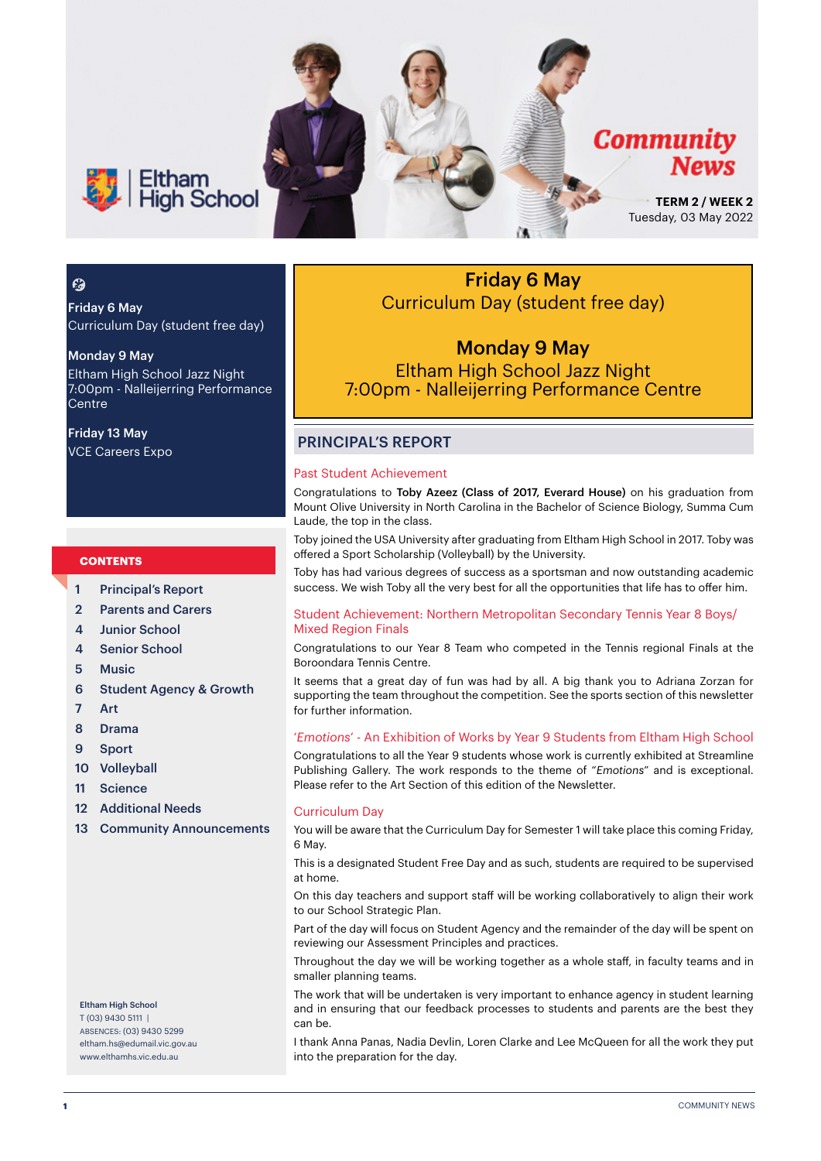

### $\boldsymbol{\epsilon}$

Friday 6 May Curriculum Day (student free day)

#### Monday 9 May

Eltham High School Jazz Night 7:00pm - Nalleijerring Performance Centre

Friday 13 May VCE Careers Expo

#### **CONTENTS**

- 1 Principal's Report
- 2 Parents and Carers
- 4 Junior School
- 4 Senior School
- 5 Music
- 6 Student Agency & Growth
- 7 Art
- 8 Drama
- 9 Sport
- 10 Volleyball
- 11 Science
- 12 Additional Needs
- 13 Community Announcements

#### Eltham High School T (03) 9430 5111 | ABSENCES: (03) 9430 5299 [eltham.hs@edumail.vic.gov.au](mailto:eltham.hs@edumail.vic.gov.au) [www.elthamhs.vic.edu.au](http://www.elthamhs.vic.edu.au)

Friday 6 May Curriculum Day (student free day)

### Monday 9 May Eltham High School Jazz Night 7:00pm - Nalleijerring Performance Centre

#### PRINCIPAL'S REPORT

#### Past Student Achievement

Congratulations to Toby Azeez (Class of 2017, Everard House) on his graduation from Mount Olive University in North Carolina in the Bachelor of Science Biology, Summa Cum Laude, the top in the class.

Toby joined the USA University after graduating from Eltham High School in 2017. Toby was offered a Sport Scholarship (Volleyball) by the University.

Toby has had various degrees of success as a sportsman and now outstanding academic success. We wish Toby all the very best for all the opportunities that life has to offer him.

#### Student Achievement: Northern Metropolitan Secondary Tennis Year 8 Boys/ Mixed Region Finals

Congratulations to our Year 8 Team who competed in the Tennis regional Finals at the Boroondara Tennis Centre.

It seems that a great day of fun was had by all. A big thank you to Adriana Zorzan for supporting the team throughout the competition. See the sports section of this newsletter for further information.

#### '*Emotions*' - An Exhibition of Works by Year 9 Students from Eltham High School

Congratulations to all the Year 9 students whose work is currently exhibited at Streamline Publishing Gallery. The work responds to the theme of "*Emotions*" and is exceptional. Please refer to the Art Section of this edition of the Newsletter.

#### Curriculum Day

You will be aware that the Curriculum Day for Semester 1 will take place this coming Friday, 6 May.

This is a designated Student Free Day and as such, students are required to be supervised at home.

On this day teachers and support staff will be working collaboratively to align their work to our School Strategic Plan.

Part of the day will focus on Student Agency and the remainder of the day will be spent on reviewing our Assessment Principles and practices.

Throughout the day we will be working together as a whole staff, in faculty teams and in smaller planning teams.

The work that will be undertaken is very important to enhance agency in student learning and in ensuring that our feedback processes to students and parents are the best they can be.

I thank Anna Panas, Nadia Devlin, Loren Clarke and Lee McQueen for all the work they put into the preparation for the day.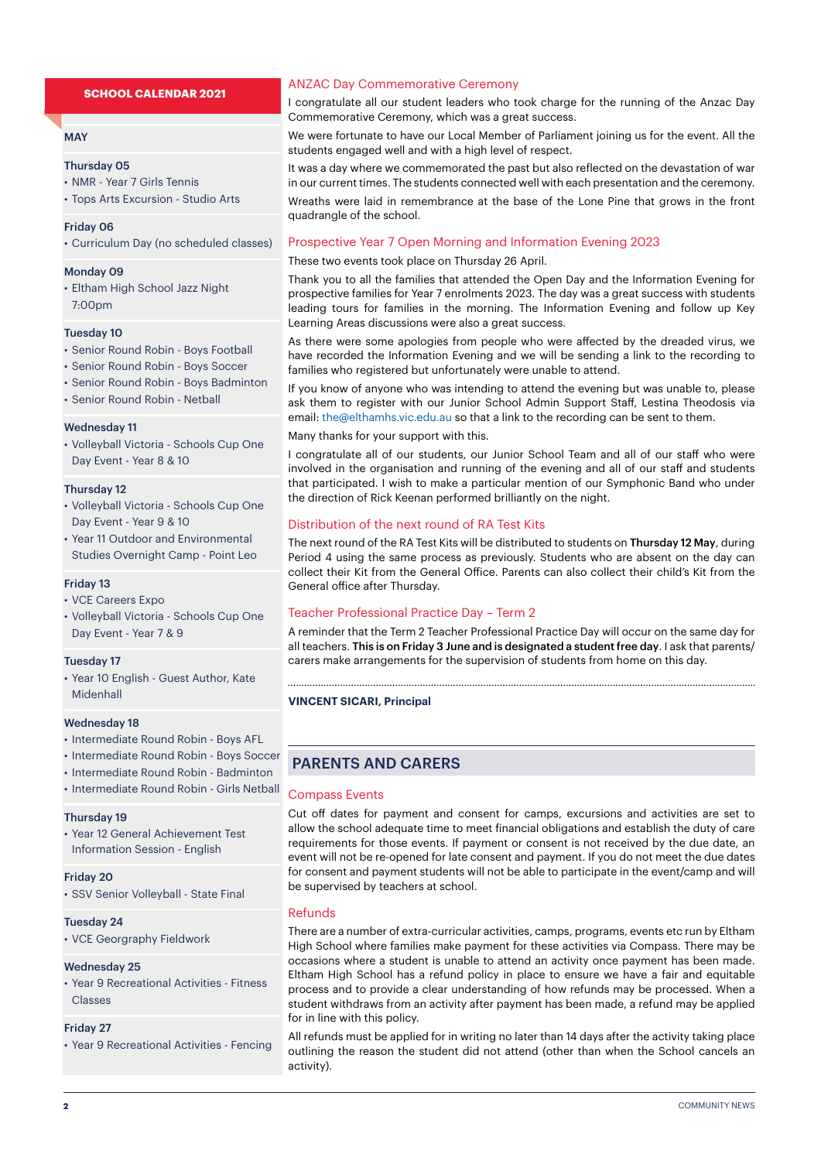#### **MAY**

#### Thursday 05

• NMR - Year 7 Girls Tennis

• Tops Arts Excursion - Studio Arts

#### Friday 06

• Curriculum Day (no scheduled classes)

#### Monday 09

• Eltham High School Jazz Night 7:00pm

#### Tuesday 10

- Senior Round Robin Boys Football
- Senior Round Robin Boys Soccer
- Senior Round Robin Boys Badminton
- Senior Round Robin Netball

#### Wednesday 11

• Volleyball Victoria - Schools Cup One Day Event - Year 8 & 10

#### Thursday 12

- Volleyball Victoria Schools Cup One Day Event - Year 9 & 10
- Year 11 Outdoor and Environmental Studies Overnight Camp - Point Leo

#### Friday 13

- VCE Careers Expo
- Volleyball Victoria Schools Cup One Day Event - Year 7 & 9

#### Tuesday 17

• Year 10 English - Guest Author, Kate Midenhall

#### Wednesday 18

- Intermediate Round Robin Boys AFL
- Intermediate Round Robin Boys Soccer
- Intermediate Round Robin Badminton
- Intermediate Round Robin Girls Netball

#### Thursday 19

• Year 12 General Achievement Test Information Session - English

#### Friday 20

• SSV Senior Volleyball - State Final

#### Tuesday 24

• VCE Georgraphy Fieldwork

#### Wednesday 25

• Year 9 Recreational Activities - Fitness Classes

#### Friday 27

• Year 9 Recreational Activities - Fencing

#### ANZAC Day Commemorative Ceremony

I congratulate all our student leaders who took charge for the running of the Anzac Day Commemorative Ceremony, which was a great success.

We were fortunate to have our Local Member of Parliament joining us for the event. All the students engaged well and with a high level of respect.

It was a day where we commemorated the past but also reflected on the devastation of war in our current times. The students connected well with each presentation and the ceremony. Wreaths were laid in remembrance at the base of the Lone Pine that grows in the front quadrangle of the school.

#### Prospective Year 7 Open Morning and Information Evening 2023

#### These two events took place on Thursday 26 April.

Thank you to all the families that attended the Open Day and the Information Evening for prospective families for Year 7 enrolments 2023. The day was a great success with students leading tours for families in the morning. The Information Evening and follow up Key Learning Areas discussions were also a great success.

As there were some apologies from people who were affected by the dreaded virus, we have recorded the Information Evening and we will be sending a link to the recording to families who registered but unfortunately were unable to attend.

If you know of anyone who was intending to attend the evening but was unable to, please ask them to register with our Junior School Admin Support Staff, Lestina Theodosis via email: the@elthamhs.vic.edu.au so that a link to the recording can be sent to them.

#### Many thanks for your support with this.

I congratulate all of our students, our Junior School Team and all of our staff who were involved in the organisation and running of the evening and all of our staff and students that participated. I wish to make a particular mention of our Symphonic Band who under the direction of Rick Keenan performed brilliantly on the night.

#### Distribution of the next round of RA Test Kits

The next round of the RA Test Kits will be distributed to students on Thursday 12 May, during Period 4 using the same process as previously. Students who are absent on the day can collect their Kit from the General Office. Parents can also collect their child's Kit from the General office after Thursday.

#### Teacher Professional Practice Day – Term 2

A reminder that the Term 2 Teacher Professional Practice Day will occur on the same day for all teachers. This is on Friday 3 June and is designated a student free day. I ask that parents/ carers make arrangements for the supervision of students from home on this day.

#### **VINCENT SICARI, Principal**

#### PARENTS AND CARERS

#### Compass Events

Cut off dates for payment and consent for camps, excursions and activities are set to allow the school adequate time to meet financial obligations and establish the duty of care requirements for those events. If payment or consent is not received by the due date, an event will not be re-opened for late consent and payment. If you do not meet the due dates for consent and payment students will not be able to participate in the event/camp and will be supervised by teachers at school.

#### Refunds

There are a number of extra-curricular activities, camps, programs, events etc run by Eltham High School where families make payment for these activities via Compass. There may be occasions where a student is unable to attend an activity once payment has been made. Eltham High School has a refund policy in place to ensure we have a fair and equitable process and to provide a clear understanding of how refunds may be processed. When a student withdraws from an activity after payment has been made, a refund may be applied for in line with this policy.

All refunds must be applied for in writing no later than 14 days after the activity taking place outlining the reason the student did not attend (other than when the School cancels an activity).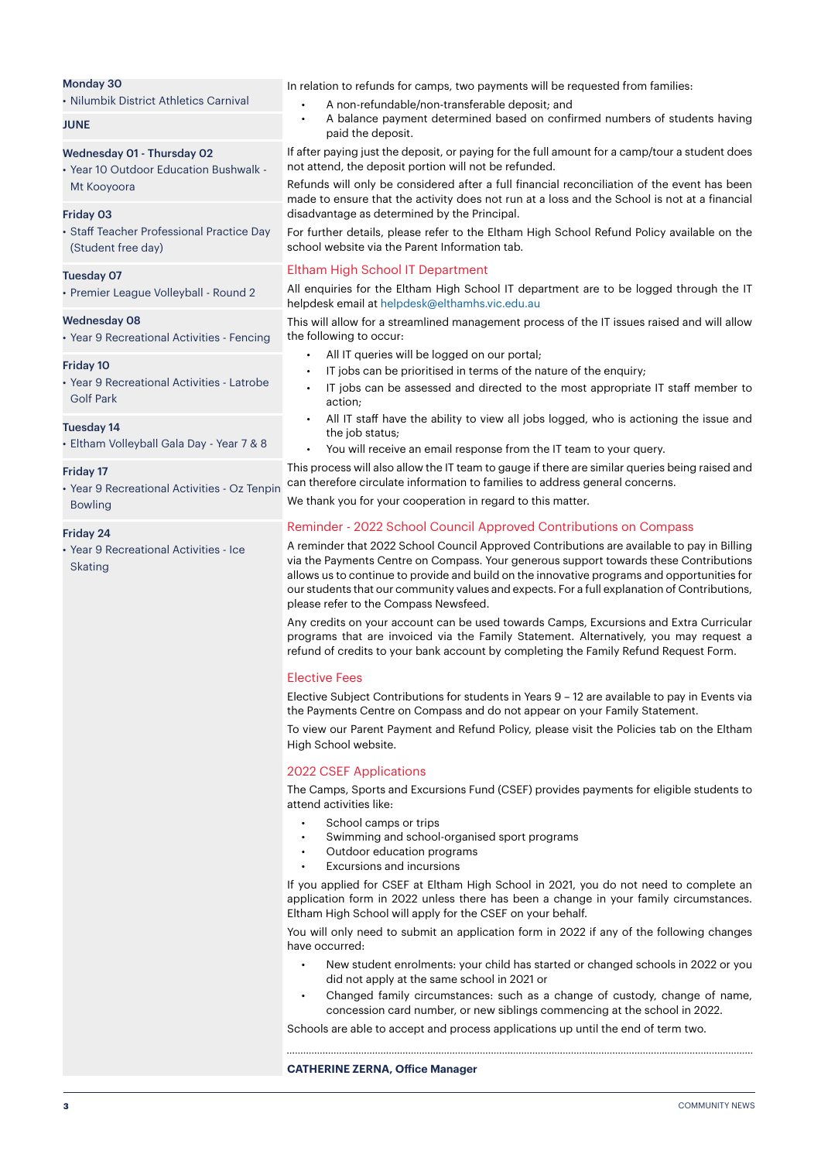#### Monday 30

• Nilumbik District Athletics Carnival

#### **JUNE**

#### Wednesday 01 - Thursday 02

• Year 10 Outdoor Education Bushwalk - Mt Kooyoora

#### Friday 03

• Staff Teacher Professional Practice Day (Student free day)

#### Tuesday 07

• Premier League Volleyball - Round 2

#### Wednesday 08

• Year 9 Recreational Activities - Fencing

#### Friday 10

• Year 9 Recreational Activities - Latrobe Golf Park

#### Tuesday 14

• Eltham Volleyball Gala Day - Year 7 & 8

#### Friday 17

• Year 9 Recreational Activities - Oz Tenpin Bowling

#### Friday 24

• Year 9 Recreational Activities - Ice Skating

In relation to refunds for camps, two payments will be requested from families:

- A non-refundable/non-transferable deposit; and
- A balance payment determined based on confirmed numbers of students having paid the deposit.

If after paying just the deposit, or paying for the full amount for a camp/tour a student does not attend, the deposit portion will not be refunded.

Refunds will only be considered after a full financial reconciliation of the event has been made to ensure that the activity does not run at a loss and the School is not at a financial disadvantage as determined by the Principal.

For further details, please refer to the Eltham High School Refund Policy available on the school website via the Parent Information tab.

#### Eltham High School IT Department

All enquiries for the Eltham High School IT department are to be logged through the IT helpdesk email at helpdesk@elthamhs.vic.edu.au

This will allow for a streamlined management process of the IT issues raised and will allow the following to occur:

- All IT queries will be logged on our portal;
- IT jobs can be prioritised in terms of the nature of the enquiry;
- IT jobs can be assessed and directed to the most appropriate IT staff member to action;
- All IT staff have the ability to view all jobs logged, who is actioning the issue and the job status:
- You will receive an email response from the IT team to your query.

This process will also allow the IT team to gauge if there are similar queries being raised and can therefore circulate information to families to address general concerns.

We thank you for your cooperation in regard to this matter.

#### Reminder - 2022 School Council Approved Contributions on Compass

A reminder that 2022 School Council Approved Contributions are available to pay in Billing via the Payments Centre on Compass. Your generous support towards these Contributions allows us to continue to provide and build on the innovative programs and opportunities for our students that our community values and expects. For a full explanation of Contributions, please refer to the Compass Newsfeed.

Any credits on your account can be used towards Camps, Excursions and Extra Curricular programs that are invoiced via the Family Statement. Alternatively, you may request a refund of credits to your bank account by completing the Family Refund Request Form.

#### Elective Fees

Elective Subject Contributions for students in Years 9 – 12 are available to pay in Events via the Payments Centre on Compass and do not appear on your Family Statement.

To view our Parent Payment and Refund Policy, please visit the Policies tab on the Eltham High School website.

#### 2022 CSEF Applications

The Camps, Sports and Excursions Fund (CSEF) provides payments for eligible students to attend activities like:

- School camps or trips
- Swimming and school-organised sport programs
- Outdoor education programs
- Excursions and incursions

If you applied for CSEF at Eltham High School in 2021, you do not need to complete an application form in 2022 unless there has been a change in your family circumstances. Eltham High School will apply for the CSEF on your behalf.

You will only need to submit an application form in 2022 if any of the following changes have occurred:

- New student enrolments: your child has started or changed schools in 2022 or you did not apply at the same school in 2021 or
- Changed family circumstances: such as a change of custody, change of name, concession card number, or new siblings commencing at the school in 2022.

Schools are able to accept and process applications up until the end of term two.

#### **CATHERINE ZERNA, Office Manager**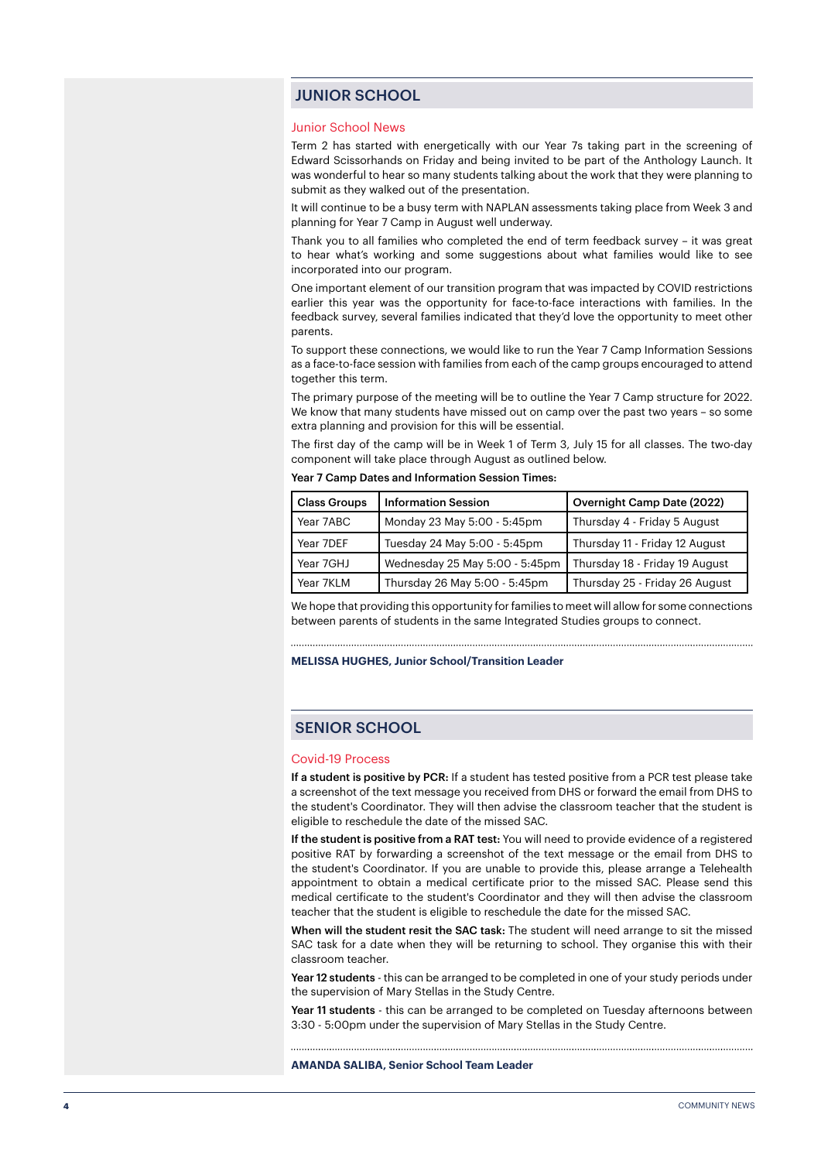#### JUNIOR SCHOOL

#### Junior School News

Term 2 has started with energetically with our Year 7s taking part in the screening of Edward Scissorhands on Friday and being invited to be part of the Anthology Launch. It was wonderful to hear so many students talking about the work that they were planning to submit as they walked out of the presentation.

It will continue to be a busy term with NAPLAN assessments taking place from Week 3 and planning for Year 7 Camp in August well underway.

Thank you to all families who completed the end of term feedback survey – it was great to hear what's working and some suggestions about what families would like to see incorporated into our program.

One important element of our transition program that was impacted by COVID restrictions earlier this year was the opportunity for face-to-face interactions with families. In the feedback survey, several families indicated that they'd love the opportunity to meet other parents.

To support these connections, we would like to run the Year 7 Camp Information Sessions as a face-to-face session with families from each of the camp groups encouraged to attend together this term.

The primary purpose of the meeting will be to outline the Year 7 Camp structure for 2022. We know that many students have missed out on camp over the past two years – so some extra planning and provision for this will be essential.

The first day of the camp will be in Week 1 of Term 3, July 15 for all classes. The two-day component will take place through August as outlined below.

Year 7 Camp Dates and Information Session Times:

| <b>Class Groups</b> | <b>Information Session</b>     | Overnight Camp Date (2022)     |
|---------------------|--------------------------------|--------------------------------|
| Year 7ABC           | Monday 23 May 5:00 - 5:45pm    | Thursday 4 - Friday 5 August   |
| Year 7DEF           | Tuesday 24 May 5:00 - 5:45pm   | Thursday 11 - Friday 12 August |
| Year 7GHJ           | Wednesday 25 May 5:00 - 5:45pm | Thursday 18 - Friday 19 August |
| Year 7KLM           | Thursday 26 May 5:00 - 5:45pm  | Thursday 25 - Friday 26 August |

We hope that providing this opportunity for families to meet will allow for some connections between parents of students in the same Integrated Studies groups to connect.

**MELISSA HUGHES, Junior School/Transition Leader**

#### SENIOR SCHOOL

#### Covid-19 Process

If a student is positive by PCR: If a student has tested positive from a PCR test please take a screenshot of the text message you received from DHS or forward the email from DHS to the student's Coordinator. They will then advise the classroom teacher that the student is eligible to reschedule the date of the missed SAC.

If the student is positive from a RAT test: You will need to provide evidence of a registered positive RAT by forwarding a screenshot of the text message or the email from DHS to the student's Coordinator. If you are unable to provide this, please arrange a Telehealth appointment to obtain a medical certificate prior to the missed SAC. Please send this medical certificate to the student's Coordinator and they will then advise the classroom teacher that the student is eligible to reschedule the date for the missed SAC.

When will the student resit the SAC task: The student will need arrange to sit the missed SAC task for a date when they will be returning to school. They organise this with their classroom teacher.

Year 12 students - this can be arranged to be completed in one of your study periods under the supervision of Mary Stellas in the Study Centre.

Year 11 students - this can be arranged to be completed on Tuesday afternoons between 3:30 - 5:00pm under the supervision of Mary Stellas in the Study Centre.

#### **AMANDA SALIBA, Senior School Team Leader**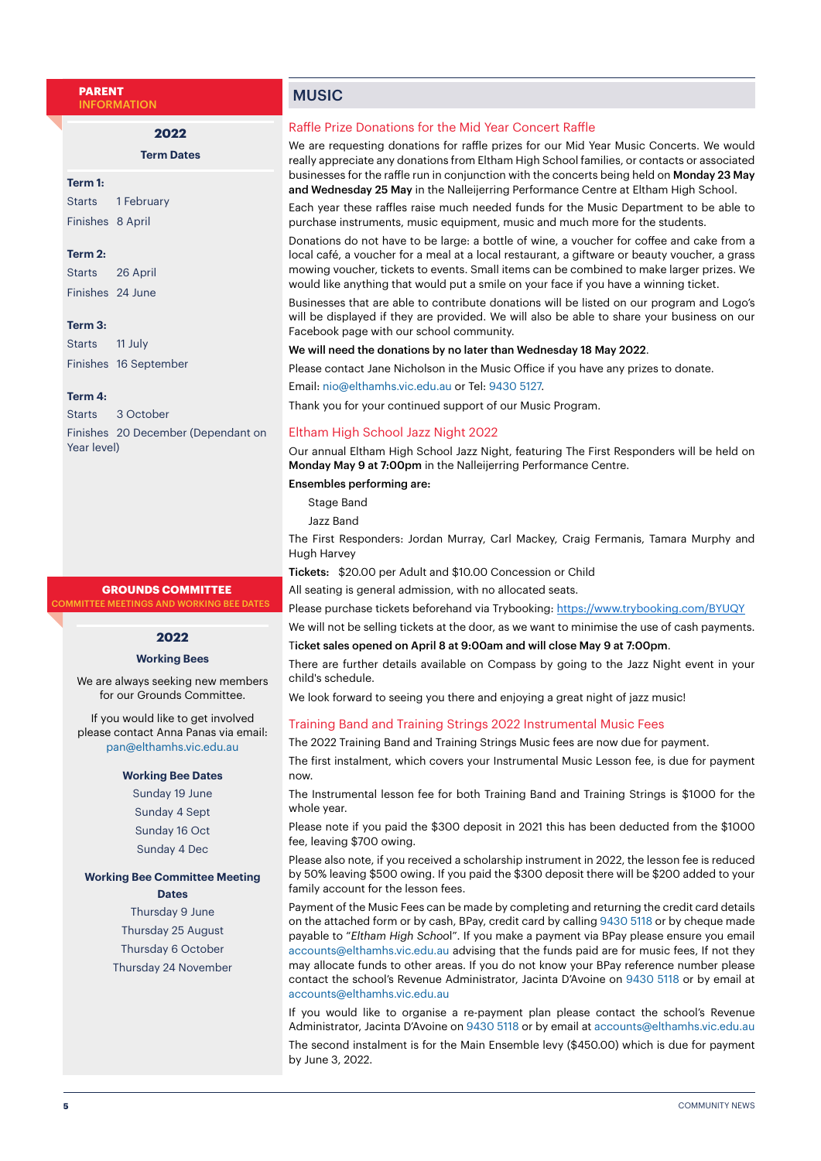**PARENT** INFORMATION

**Term Dates**

**2022**

#### **Term 1:**

Starts 1 February Finishes 8 April

#### **Term 2:**

Starts 26 April Finishes 24 June

#### **Term 3:**

Starts 11 July Finishes 16 September

#### **Term 4:**

Starts 3 October Finishes 20 December (Dependant on Year level)

#### **GROUNDS COMMITTEE**

**MMITTEE MEETINGS AND WORKING BEE DATES** 

#### **2022**

#### **Working Bees**

We are always seeking new members for our Grounds Committee.

If you would like to get involved please contact Anna Panas via email: pan@elthamhs.vic.edu.au

#### **Working Bee Dates**

Sunday 19 June Sunday 4 Sept Sunday 16 Oct Sunday 4 Dec

#### **Working Bee Committee Meeting Dates**

Thursday 9 June Thursday 25 August Thursday 6 October Thursday 24 November

#### **MUSIC**

#### Raffle Prize Donations for the Mid Year Concert Raffle

We are requesting donations for raffle prizes for our Mid Year Music Concerts. We would really appreciate any donations from Eltham High School families, or contacts or associated businesses for the raffle run in conjunction with the concerts being held on Monday 23 May and Wednesday 25 May in the Nalleijerring Performance Centre at Eltham High School.

Each year these raffles raise much needed funds for the Music Department to be able to purchase instruments, music equipment, music and much more for the students.

Donations do not have to be large: a bottle of wine, a voucher for coffee and cake from a local café, a voucher for a meal at a local restaurant, a giftware or beauty voucher, a grass mowing voucher, tickets to events. Small items can be combined to make larger prizes. We would like anything that would put a smile on your face if you have a winning ticket.

Businesses that are able to contribute donations will be listed on our program and Logo's will be displayed if they are provided. We will also be able to share your business on our Facebook page with our school community.

#### We will need the donations by no later than Wednesday 18 May 2022.

Please contact Jane Nicholson in the Music Office if you have any prizes to donate.

Email: nio@elthamhs.vic.edu.au or Tel: 9430 5127.

Thank you for your continued support of our Music Program.

#### Eltham High School Jazz Night 2022

Our annual Eltham High School Jazz Night, featuring The First Responders will be held on Monday May 9 at 7:00pm in the Nalleijerring Performance Centre.

#### Ensembles performing are:

Stage Band

Jazz Band

The First Responders: Jordan Murray, Carl Mackey, Craig Fermanis, Tamara Murphy and Hugh Harvey

Tickets: \$20.00 per Adult and \$10.00 Concession or Child

All seating is general admission, with no allocated seats.

Please purchase tickets beforehand via Trybooking: <https://www.trybooking.com/BYUQY>

We will not be selling tickets at the door, as we want to minimise the use of cash payments. Ticket sales opened on April 8 at 9:00am and will close May 9 at 7:00pm.

There are further details available on Compass by going to the Jazz Night event in your child's schedule.

We look forward to seeing you there and enjoying a great night of jazz music!

#### Training Band and Training Strings 2022 Instrumental Music Fees

The 2022 Training Band and Training Strings Music fees are now due for payment. The first instalment, which covers your Instrumental Music Lesson fee, is due for payment now.

The Instrumental lesson fee for both Training Band and Training Strings is \$1000 for the whole year.

Please note if you paid the \$300 deposit in 2021 this has been deducted from the \$1000 fee, leaving \$700 owing.

Please also note, if you received a scholarship instrument in 2022, the lesson fee is reduced by 50% leaving \$500 owing. If you paid the \$300 deposit there will be \$200 added to your family account for the lesson fees.

Payment of the Music Fees can be made by completing and returning the credit card details on the attached form or by cash, BPay, credit card by calling 9430 5118 or by cheque made payable to "*Eltham High Schoo*l". If you make a payment via BPay please ensure you email accounts@elthamhs.vic.edu.au advising that the funds paid are for music fees, If not they may allocate funds to other areas. If you do not know your BPay reference number please contact the school's Revenue Administrator, Jacinta D'Avoine on 9430 5118 or by email at accounts@elthamhs.vic.edu.au

If you would like to organise a re-payment plan please contact the school's Revenue Administrator, Jacinta D'Avoine on 9430 5118 or by email at accounts@elthamhs.vic.edu.au The second instalment is for the Main Ensemble levy (\$450.00) which is due for payment by June 3, 2022.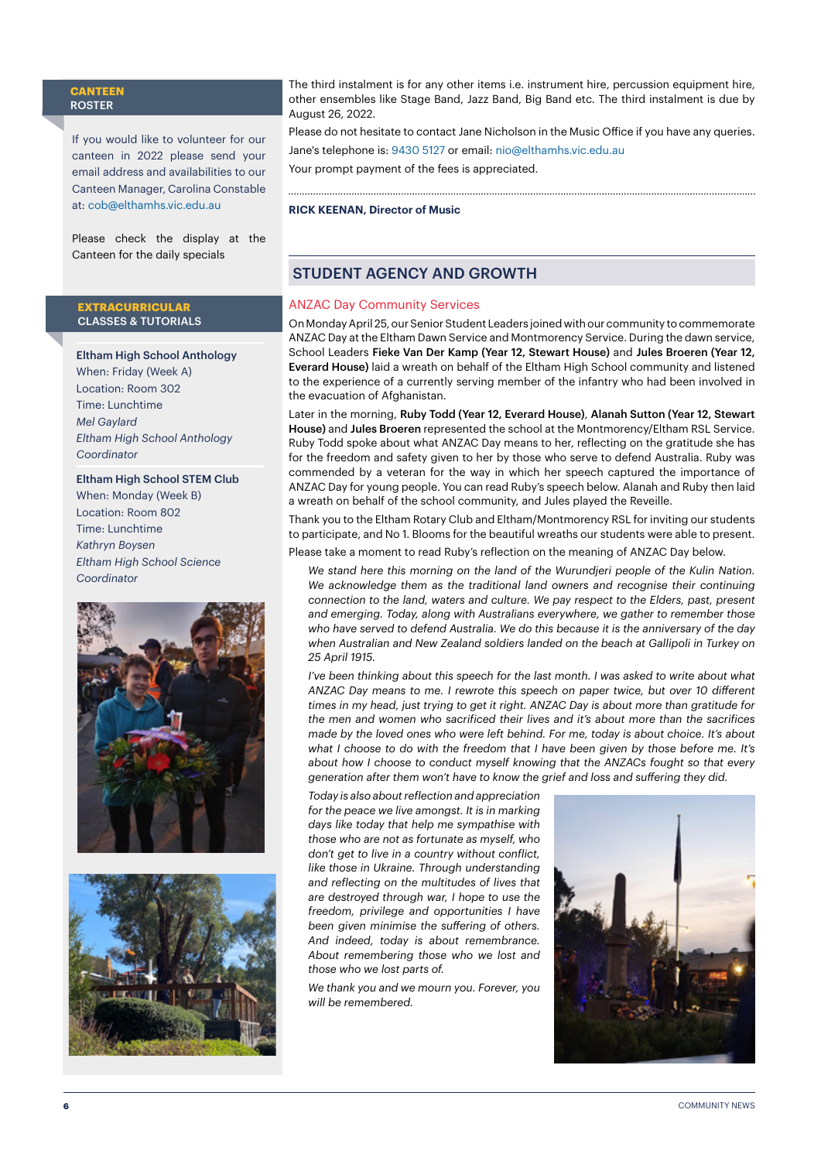#### **CANTEEN** ROSTER

If you would like to volunteer for our canteen in 2022 please send your email address and availabilities to our Canteen Manager, Carolina Constable at: [cob@elthamhs.vic.edu.au](mailto:cob@elthamhs.vic.edu.au)

Please check the display at the Canteen for the daily specials

#### **EXTRACURRICULAR**  CLASSES & TUTORIALS

Eltham High School Anthology When: Friday (Week A) Location: Room 302 Time: Lunchtime *Mel Gaylard Eltham High School Anthology Coordinator*

#### Eltham High School STEM Club When: Monday (Week B)

Location: Room 802 Time: Lunchtime *Kathryn Boysen Eltham High School Science Coordinator*





The third instalment is for any other items i.e. instrument hire, percussion equipment hire, other ensembles like Stage Band, Jazz Band, Big Band etc. The third instalment is due by August 26, 2022.

Please do not hesitate to contact Jane Nicholson in the Music Office if you have any queries. Jane's telephone is: 9430 5127 or email: nio@elthamhs.vic.edu.au Your prompt payment of the fees is appreciated.

#### **RICK KEENAN, Director of Music**

#### STUDENT AGENCY AND GROWTH

#### ANZAC Day Community Services

On Monday April 25, our Senior Student Leaders joined with our community to commemorate ANZAC Day at the Eltham Dawn Service and Montmorency Service. During the dawn service, School Leaders Fieke Van Der Kamp (Year 12, Stewart House) and Jules Broeren (Year 12, Everard House) laid a wreath on behalf of the Eltham High School community and listened to the experience of a currently serving member of the infantry who had been involved in the evacuation of Afghanistan.

Later in the morning, Ruby Todd (Year 12, Everard House), Alanah Sutton (Year 12, Stewart House) and Jules Broeren represented the school at the Montmorency/Eltham RSL Service. Ruby Todd spoke about what ANZAC Day means to her, reflecting on the gratitude she has for the freedom and safety given to her by those who serve to defend Australia. Ruby was commended by a veteran for the way in which her speech captured the importance of ANZAC Day for young people. You can read Ruby's speech below. Alanah and Ruby then laid a wreath on behalf of the school community, and Jules played the Reveille.

Thank you to the Eltham Rotary Club and Eltham/Montmorency RSL for inviting our students to participate, and No 1. Blooms for the beautiful wreaths our students were able to present.

Please take a moment to read Ruby's reflection on the meaning of ANZAC Day below.

*We stand here this morning on the land of the Wurundjeri people of the Kulin Nation. We acknowledge them as the traditional land owners and recognise their continuing connection to the land, waters and culture. We pay respect to the Elders, past, present and emerging. Today, along with Australians everywhere, we gather to remember those who have served to defend Australia. We do this because it is the anniversary of the day when Australian and New Zealand soldiers landed on the beach at Gallipoli in Turkey on 25 April 1915.*

*I've been thinking about this speech for the last month. I was asked to write about what ANZAC Day means to me. I rewrote this speech on paper twice, but over 10 different times in my head, just trying to get it right. ANZAC Day is about more than gratitude for the men and women who sacrificed their lives and it's about more than the sacrifices made by the loved ones who were left behind. For me, today is about choice. It's about what I choose to do with the freedom that I have been given by those before me. It's about how I choose to conduct myself knowing that the ANZACs fought so that every generation after them won't have to know the grief and loss and suffering they did.* 

*Today is also about reflection and appreciation for the peace we live amongst. It is in marking days like today that help me sympathise with those who are not as fortunate as myself, who don't get to live in a country without conflict, like those in Ukraine. Through understanding and reflecting on the multitudes of lives that are destroyed through war, I hope to use the freedom, privilege and opportunities I have been given minimise the suffering of others. And indeed, today is about remembrance. About remembering those who we lost and those who we lost parts of.* 

*We thank you and we mourn you. Forever, you will be remembered.*

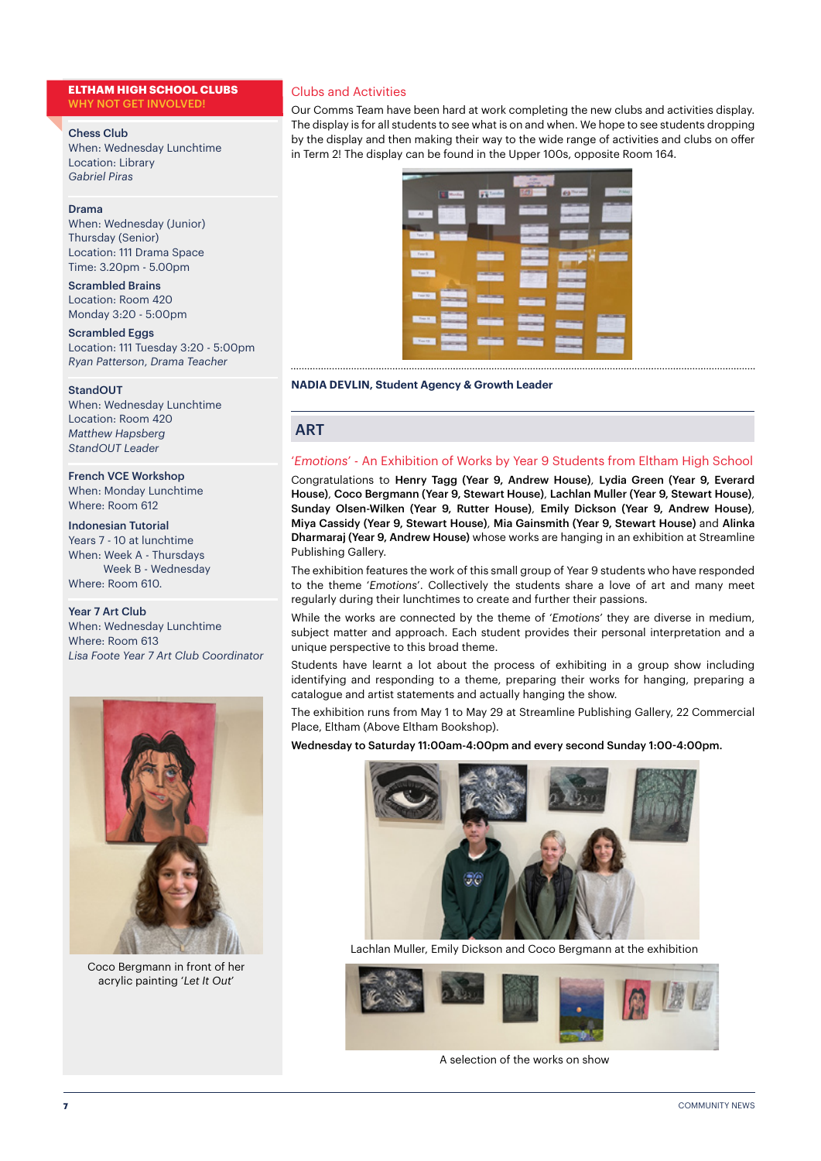#### **ELTHAM HIGH SCHOOL CLUBS** WHY NOT GET INVOLVED!

#### Chess Club

When: Wednesday Lunchtime Location: Library *Gabriel Piras*

#### Drama

When: Wednesday (Junior) Thursday (Senior) Location: 111 Drama Space Time: 3.20pm - 5.00pm

Scrambled Brains Location: Room 420 Monday 3:20 - 5:00pm

Scrambled Eggs Location: 111 Tuesday 3:20 - 5:00pm *Ryan Patterson*, *Drama Teacher*

#### StandOUT

When: Wednesday Lunchtime Location: Room 420 *Matthew Hapsberg StandOUT Leader*

#### French VCE Workshop

When: Monday Lunchtime Where: Room 612

#### Indonesian Tutorial

Years 7 - 10 at lunchtime When: Week A - Thursdays Week B - Wednesday Where: Room 610.

#### Year 7 Art Club

When: Wednesday Lunchtime Where: Room 613 *Lisa Foote Year 7 Art Club Coordinator*



Coco Bergmann in front of her acrylic painting '*Let It Out*'

#### Clubs and Activities

Our Comms Team have been hard at work completing the new clubs and activities display. The display is for all students to see what is on and when. We hope to see students dropping by the display and then making their way to the wide range of activities and clubs on offer in Term 2! The display can be found in the Upper 100s, opposite Room 164.



#### **NADIA DEVLIN, Student Agency & Growth Leader**

#### **ART**

#### '*Emotions*' - An Exhibition of Works by Year 9 Students from Eltham High School

Congratulations to Henry Tagg (Year 9, Andrew House), Lydia Green (Year 9, Everard House), Coco Bergmann (Year 9, Stewart House), Lachlan Muller (Year 9, Stewart House), Sunday Olsen-Wilken (Year 9, Rutter House), Emily Dickson (Year 9, Andrew House), Miya Cassidy (Year 9, Stewart House), Mia Gainsmith (Year 9, Stewart House) and Alinka Dharmaraj (Year 9, Andrew House) whose works are hanging in an exhibition at Streamline Publishing Gallery.

The exhibition features the work of this small group of Year 9 students who have responded to the theme '*Emotions*'. Collectively the students share a love of art and many meet regularly during their lunchtimes to create and further their passions.

While the works are connected by the theme of '*Emotions*' they are diverse in medium, subject matter and approach. Each student provides their personal interpretation and a unique perspective to this broad theme.

Students have learnt a lot about the process of exhibiting in a group show including identifying and responding to a theme, preparing their works for hanging, preparing a catalogue and artist statements and actually hanging the show.

The exhibition runs from May 1 to May 29 at Streamline Publishing Gallery, 22 Commercial Place, Eltham (Above Eltham Bookshop).

Wednesday to Saturday 11:00am-4:00pm and every second Sunday 1:00-4:00pm.



Lachlan Muller, Emily Dickson and Coco Bergmann at the exhibition



A selection of the works on show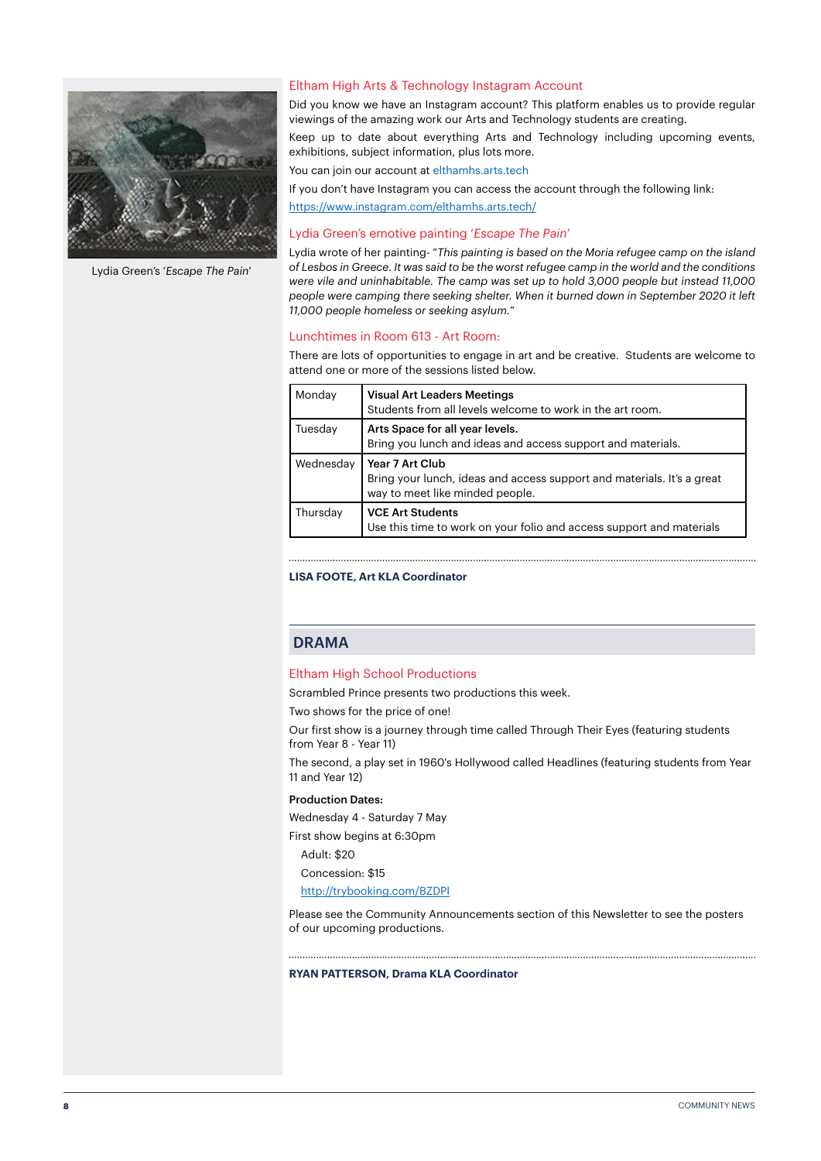

Lydia Green's '*Escape The Pain'*

#### Eltham High Arts & Technology Instagram Account

Did you know we have an Instagram account? This platform enables us to provide regular viewings of the amazing work our Arts and Technology students are creating.

Keep up to date about everything Arts and Technology including upcoming events, exhibitions, subject information, plus lots more.

You can join our account at elthamhs.arts.tech

If you don't have Instagram you can access the account through the following link:

<https://www.instagram.com/elthamhs.arts.tech/>

#### Lydia Green's emotive painting '*Escape The Pain*'

Lydia wrote of her painting- "*This painting is based on the Moria refugee camp on the island of Lesbos in Greece. It was said to be the worst refugee camp in the world and the conditions were vile and uninhabitable. The camp was set up to hold 3,000 people but instead 11,000 people were camping there seeking shelter. When it burned down in September 2020 it left 11,000 people homeless or seeking asylum.*"

#### Lunchtimes in Room 613 - Art Room:

There are lots of opportunities to engage in art and be creative. Students are welcome to attend one or more of the sessions listed below.

| Monday    | <b>Visual Art Leaders Meetings</b><br>Students from all levels welcome to work in the art room.                              |
|-----------|------------------------------------------------------------------------------------------------------------------------------|
| Tuesday   | Arts Space for all year levels.<br>Bring you lunch and ideas and access support and materials.                               |
| Wednesday | Year 7 Art Club<br>Bring your lunch, ideas and access support and materials. It's a great<br>way to meet like minded people. |
| Thursday  | <b>VCE Art Students</b><br>Use this time to work on your folio and access support and materials                              |

#### **LISA FOOTE, Art KLA Coordinator**

#### DRAMA

#### Eltham High School Productions

Scrambled Prince presents two productions this week.

Two shows for the price of one!

Our first show is a journey through time called Through Their Eyes (featuring students from Year 8 - Year 11)

The second, a play set in 1960's Hollywood called Headlines (featuring students from Year 11 and Year 12)

#### Production Dates:

Wednesday 4 - Saturday 7 May

First show begins at 6:30pm

Adult: \$20

Concession: \$15

<http://trybooking.com/BZDPI>

Please see the Community Announcements section of this Newsletter to see the posters of our upcoming productions.

#### **RYAN PATTERSON, Drama KLA Coordinator**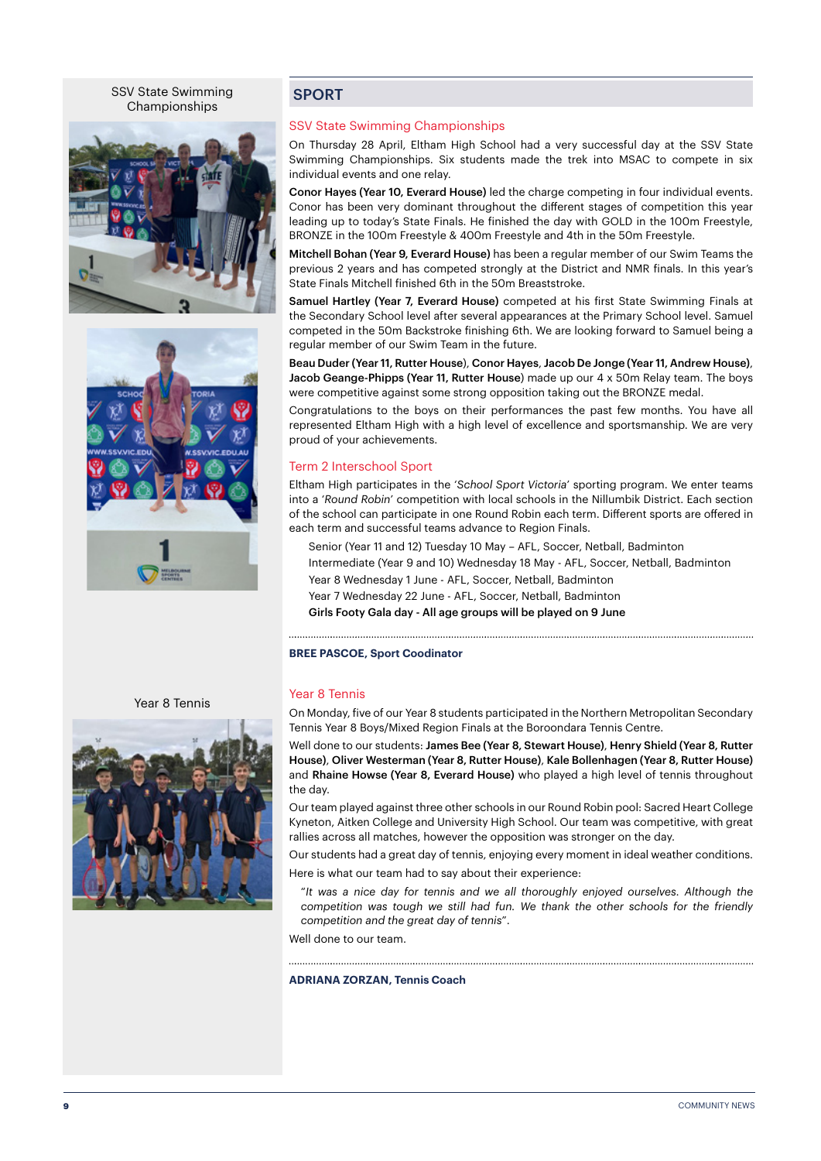SSV State Swimming Championships





#### **SPORT**

#### SSV State Swimming Championships

On Thursday 28 April, Eltham High School had a very successful day at the SSV State Swimming Championships. Six students made the trek into MSAC to compete in six individual events and one relay.

Conor Hayes (Year 10, Everard House) led the charge competing in four individual events. Conor has been very dominant throughout the different stages of competition this year leading up to today's State Finals. He finished the day with GOLD in the 100m Freestyle, BRONZE in the 100m Freestyle & 400m Freestyle and 4th in the 50m Freestyle.

Mitchell Bohan (Year 9, Everard House) has been a regular member of our Swim Teams the previous 2 years and has competed strongly at the District and NMR finals. In this year's State Finals Mitchell finished 6th in the 50m Breaststroke.

Samuel Hartley (Year 7, Everard House) competed at his first State Swimming Finals at the Secondary School level after several appearances at the Primary School level. Samuel competed in the 50m Backstroke finishing 6th. We are looking forward to Samuel being a regular member of our Swim Team in the future.

Beau Duder (Year 11, Rutter House), Conor Hayes, Jacob De Jonge (Year 11, Andrew House), Jacob Geange-Phipps (Year 11, Rutter House) made up our 4 x 50m Relay team. The boys were competitive against some strong opposition taking out the BRONZE medal.

Congratulations to the boys on their performances the past few months. You have all represented Eltham High with a high level of excellence and sportsmanship. We are very proud of your achievements.

#### Term 2 Interschool Sport

Eltham High participates in the '*School Sport Victoria*' sporting program. We enter teams into a '*Round Robin*' competition with local schools in the Nillumbik District. Each section of the school can participate in one Round Robin each term. Different sports are offered in each term and successful teams advance to Region Finals.

Senior (Year 11 and 12) Tuesday 10 May – AFL, Soccer, Netball, Badminton

Intermediate (Year 9 and 10) Wednesday 18 May - AFL, Soccer, Netball, Badminton

Year 8 Wednesday 1 June - AFL, Soccer, Netball, Badminton

Year 7 Wednesday 22 June - AFL, Soccer, Netball, Badminton

Girls Footy Gala day - All age groups will be played on 9 June

#### **BREE PASCOE, Sport Coodinator**

#### Year 8 Tennis

On Monday, five of our Year 8 students participated in the Northern Metropolitan Secondary Tennis Year 8 Boys/Mixed Region Finals at the Boroondara Tennis Centre.

Well done to our students: James Bee (Year 8, Stewart House), Henry Shield (Year 8, Rutter House), Oliver Westerman (Year 8, Rutter House), Kale Bollenhagen (Year 8, Rutter House) and Rhaine Howse (Year 8, Everard House) who played a high level of tennis throughout the day.

Our team played against three other schools in our Round Robin pool: Sacred Heart College Kyneton, Aitken College and University High School. Our team was competitive, with great rallies across all matches, however the opposition was stronger on the day.

Our students had a great day of tennis, enjoying every moment in ideal weather conditions.

Here is what our team had to say about their experience:

"*It was a nice day for tennis and we all thoroughly enjoyed ourselves. Although the competition was tough we still had fun. We thank the other schools for the friendly competition and the great day of tennis*".

Well done to our team.

**ADRIANA ZORZAN, Tennis Coach**



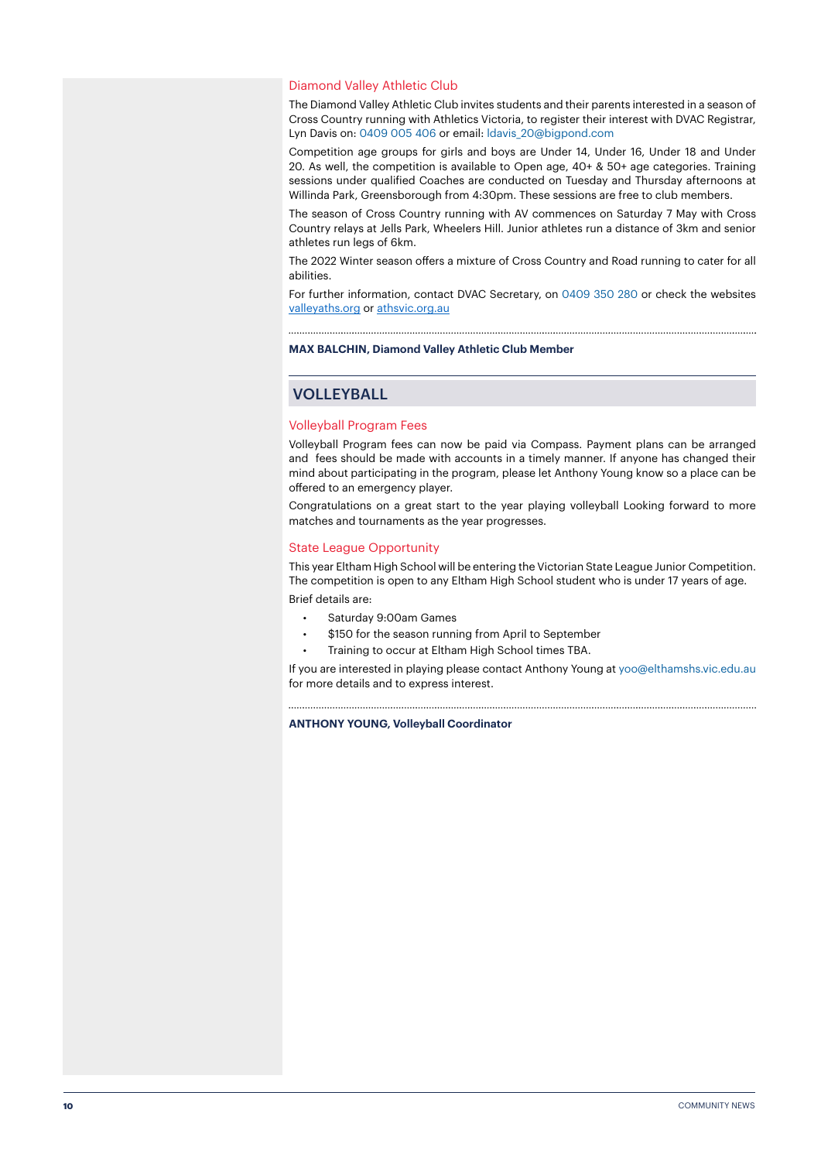#### Diamond Valley Athletic Club

The Diamond Valley Athletic Club invites students and their parents interested in a season of Cross Country running with Athletics Victoria, to register their interest with DVAC Registrar, Lyn Davis on: 0409 005 406 or email: ldavis\_20@bigpond.com

Competition age groups for girls and boys are Under 14, Under 16, Under 18 and Under 20. As well, the competition is available to Open age, 40+ & 50+ age categories. Training sessions under qualified Coaches are conducted on Tuesday and Thursday afternoons at Willinda Park, Greensborough from 4:30pm. These sessions are free to club members.

The season of Cross Country running with AV commences on Saturday 7 May with Cross Country relays at Jells Park, Wheelers Hill. Junior athletes run a distance of 3km and senior athletes run legs of 6km.

The 2022 Winter season offers a mixture of Cross Country and Road running to cater for all abilities.

For further information, contact DVAC Secretary, on 0409 350 280 or check the websites [valleyaths.org](http://valleyaths.org) or [athsvic.org.au](http://athsvic.org.au)

#### **MAX BALCHIN, Diamond Valley Athletic Club Member**

#### VOLLEYBALL

#### Volleyball Program Fees

Volleyball Program fees can now be paid via Compass. Payment plans can be arranged and fees should be made with accounts in a timely manner. If anyone has changed their mind about participating in the program, please let Anthony Young know so a place can be offered to an emergency player.

Congratulations on a great start to the year playing volleyball Looking forward to more matches and tournaments as the year progresses.

#### State League Opportunity

This year Eltham High School will be entering the Victorian State League Junior Competition. The competition is open to any Eltham High School student who is under 17 years of age. Brief details are:

- Saturday 9:00am Games
- \$150 for the season running from April to September
- Training to occur at Eltham High School times TBA.

If you are interested in playing please contact Anthony Young at yoo@elthamshs.vic.edu.au for more details and to express interest.

#### **ANTHONY YOUNG, Volleyball Coordinator**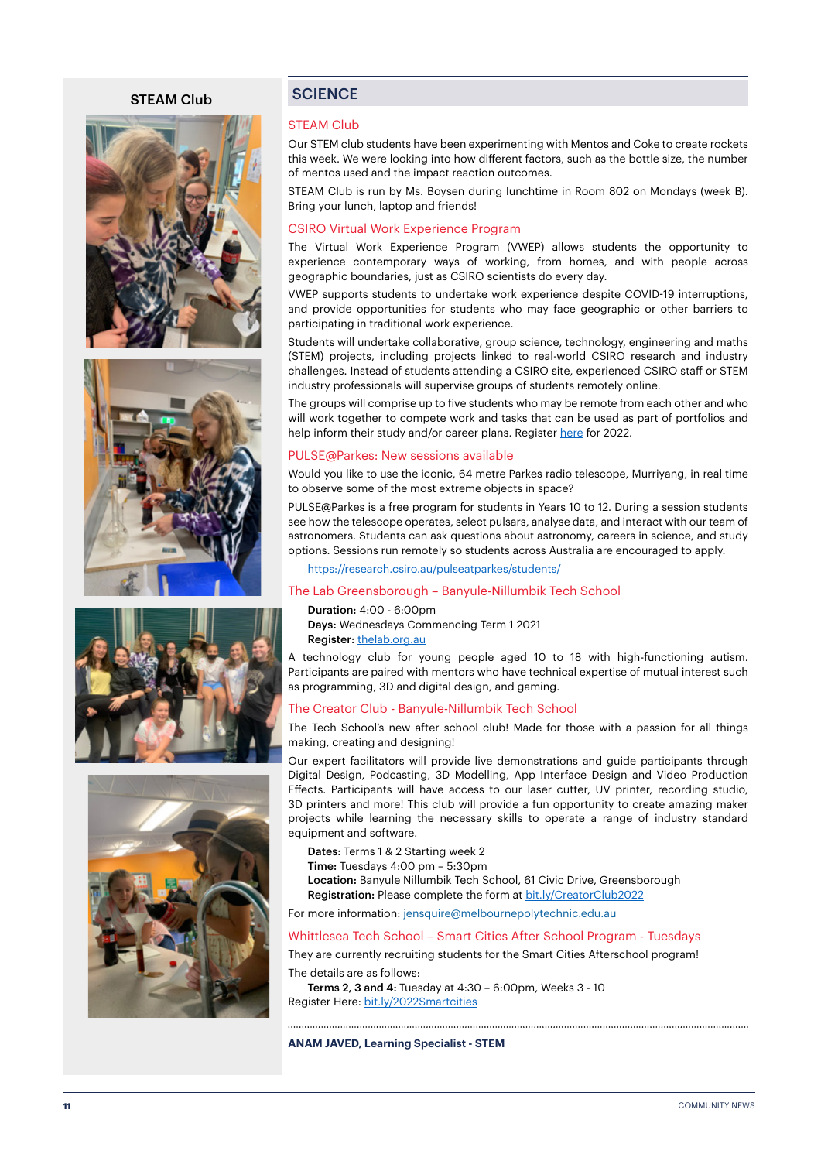#### STEAM Club









#### **SCIENCE**

#### STEAM Club

Our STEM club students have been experimenting with Mentos and Coke to create rockets this week. We were looking into how different factors, such as the bottle size, the number of mentos used and the impact reaction outcomes.

STEAM Club is run by Ms. Boysen during lunchtime in Room 802 on Mondays (week B). Bring your lunch, laptop and friends!

#### CSIRO Virtual Work Experience Program

The Virtual Work Experience Program (VWEP) allows students the opportunity to experience contemporary ways of working, from homes, and with people across geographic boundaries, just as CSIRO scientists do every day.

VWEP supports students to undertake work experience despite COVID-19 interruptions, and provide opportunities for students who may face geographic or other barriers to participating in traditional work experience.

Students will undertake collaborative, group science, technology, engineering and maths (STEM) projects, including projects linked to real-world CSIRO research and industry challenges. Instead of students attending a CSIRO site, experienced CSIRO staff or STEM industry professionals will supervise groups of students remotely online.

The groups will comprise up to five students who may be remote from each other and who will work together to compete work and tasks that can be used as part of portfolios and help inform their study and/or career plans. Register [here](https://www.csiro.au/en/careers/Scholarships-student-opportunities/work-experience?utm_source=Education-and-Outreach-2022_Term_1&utm_medium=newsletter&utm_campaign=Education-and-Outreach) for 2022.

#### PULSE@Parkes: New sessions available

Would you like to use the iconic, 64 metre Parkes radio telescope, Murriyang, in real time to observe some of the most extreme objects in space?

PULSE@Parkes is a free program for students in Years 10 to 12. During a session students see how the telescope operates, select pulsars, analyse data, and interact with our team of astronomers. Students can ask questions about astronomy, careers in science, and study options. Sessions run remotely so students across Australia are encouraged to apply.

<https://research.csiro.au/pulseatparkes/students/>

#### The Lab Greensborough – Banyule-Nillumbik Tech School

Duration: 4:00 - 6:00pm Days: Wednesdays Commencing Term 1 2021 Register: [thelab.org.au](http://thelab.org.au)

A technology club for young people aged 10 to 18 with high-functioning autism. Participants are paired with mentors who have technical expertise of mutual interest such as programming, 3D and digital design, and gaming.

#### The Creator Club - Banyule-Nillumbik Tech School

The Tech School's new after school club! Made for those with a passion for all things making, creating and designing!

Our expert facilitators will provide live demonstrations and guide participants through Digital Design, Podcasting, 3D Modelling, App Interface Design and Video Production Effects. Participants will have access to our laser cutter, UV printer, recording studio, 3D printers and more! This club will provide a fun opportunity to create amazing maker projects while learning the necessary skills to operate a range of industry standard equipment and software.

Dates: Terms 1 & 2 Starting week 2

Time: Tuesdays 4:00 pm – 5:30pm

Location: Banyule Nillumbik Tech School, 61 Civic Drive, Greensborough

Registration: Please complete the form at [bit.ly/CreatorClub2022](http://bit.ly/CreatorClub2022)

For more information: jensquire@melbournepolytechnic.edu.au

#### Whittlesea Tech School – Smart Cities After School Program - Tuesdays

They are currently recruiting students for the Smart Cities Afterschool program!

The details are as follows:

Terms 2, 3 and 4: Tuesday at 4:30 – 6:00pm, Weeks 3 - 10 Register Here: [bit.ly/2022Smartcities](http://bit.ly/2022Smartcities)

#### **ANAM JAVED, Learning Specialist - STEM**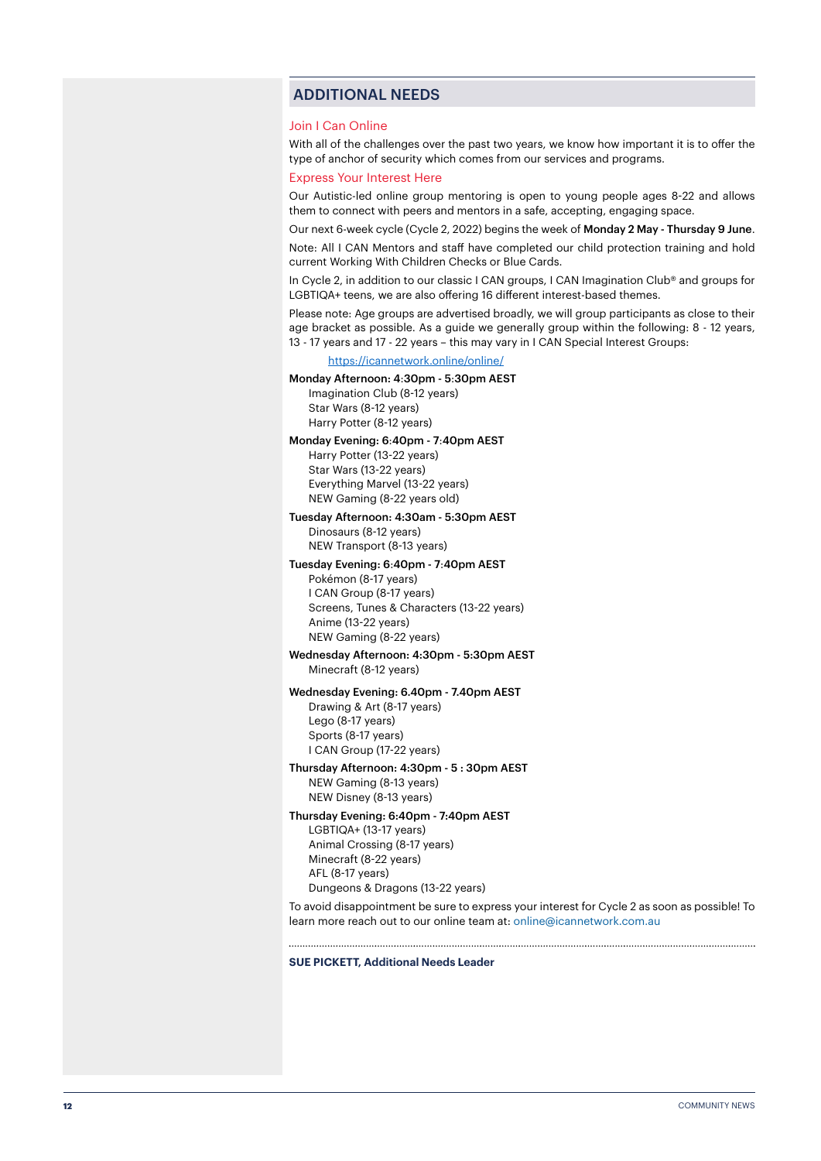#### ADDITIONAL NEEDS

#### Join I Can Online

With all of the challenges over the past two years, we know how important it is to offer the type of anchor of security which comes from our services and programs.

#### Express Your Interest Here

Our Autistic-led online group mentoring is open to young people ages 8-22 and allows them to connect with peers and mentors in a safe, accepting, engaging space.

Our next 6-week cycle (Cycle 2, 2022) begins the week of Monday 2 May - Thursday 9 June. Note: All I CAN Mentors and staff have completed our child protection training and hold current Working With Children Checks or Blue Cards.

In Cycle 2, in addition to our classic I CAN groups, I CAN Imagination Club® and groups for LGBTIQA+ teens, we are also offering 16 different interest-based themes.

Please note: Age groups are advertised broadly, we will group participants as close to their age bracket as possible. As a guide we generally group within the following: 8 - 12 years, 13 - 17 years and 17 - 22 years – this may vary in I CAN Special Interest Groups:

#### [https://icannetwork.online/online/](https://icannetwork.online/online/ )

Monday Afternoon: 4:30pm - 5:30pm AEST Imagination Club (8-12 years) Star Wars (8-12 years) Harry Potter (8-12 years)

#### Monday Evening: 6:40pm - 7:40pm AEST

Harry Potter (13-22 years) Star Wars (13-22 years) Everything Marvel (13-22 years) NEW Gaming (8-22 years old)

#### Tuesday Afternoon: 4:30am - 5:30pm AEST

Dinosaurs (8-12 years) NEW Transport (8-13 years)

#### Tuesday Evening: 6:40pm - 7:40pm AEST

Pokémon (8-17 years) I CAN Group (8-17 years) Screens, Tunes & Characters (13-22 years) Anime (13-22 years) NEW Gaming (8-22 years)

#### Wednesday Afternoon: 4:30pm - 5:30pm AEST Minecraft (8-12 years)

#### Wednesday Evening: 6.40pm - 7.40pm AEST

Drawing & Art (8-17 years) Lego (8-17 years) Sports (8-17 years) I CAN Group (17-22 years)

#### Thursday Afternoon: 4:30pm - 5 : 30pm AEST

NEW Gaming (8-13 years) NEW Disney (8-13 years)

#### Thursday Evening: 6:40pm - 7:40pm AEST

LGBTIQA+ (13-17 years) Animal Crossing (8-17 years) Minecraft (8-22 years) AFL (8-17 years) Dungeons & Dragons (13-22 years)

To avoid disappointment be sure to express your interest for Cycle 2 as soon as possible! To learn more reach out to our online team at: online@icannetwork.com.au

#### **SUE PICKETT, Additional Needs Leader**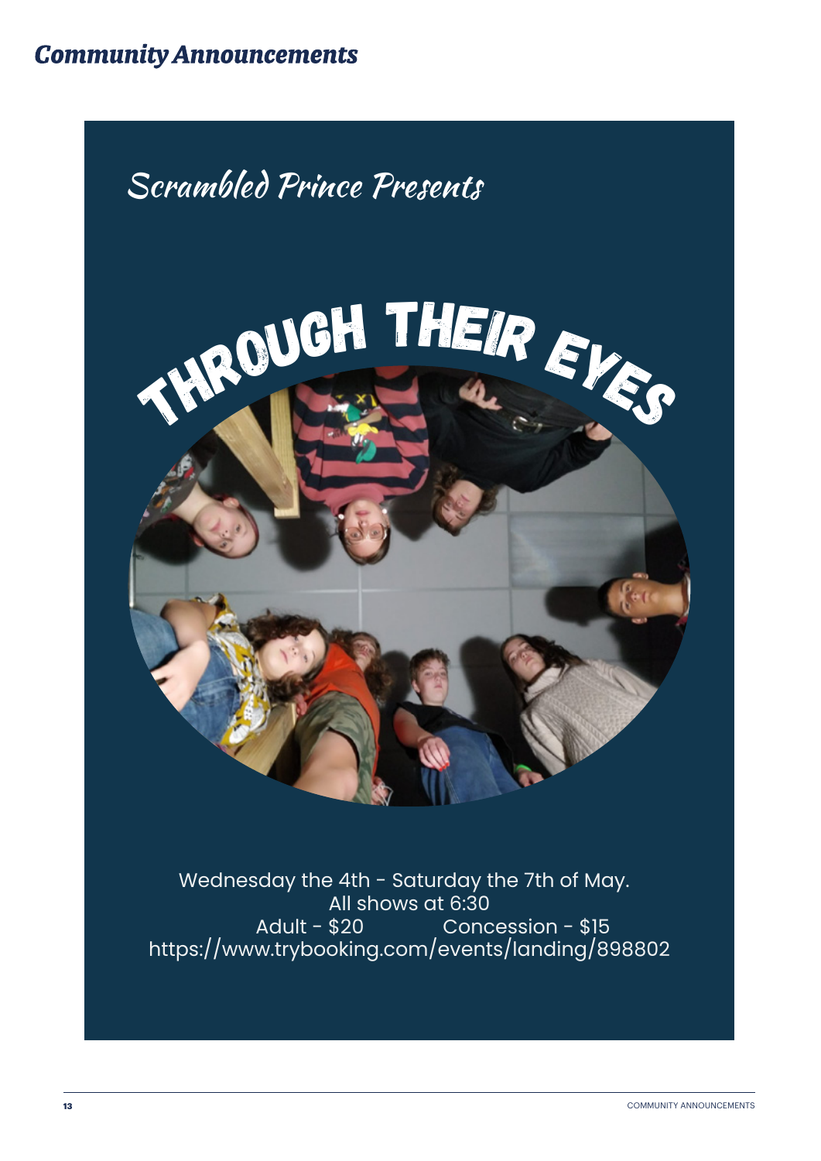## **Community Announcements**



Wednesday the 4th - Saturday the 7th of May. All shows at 6:30 Adult - \$20 Concession - \$15 https://www.trybooking.com/events/landing/898802